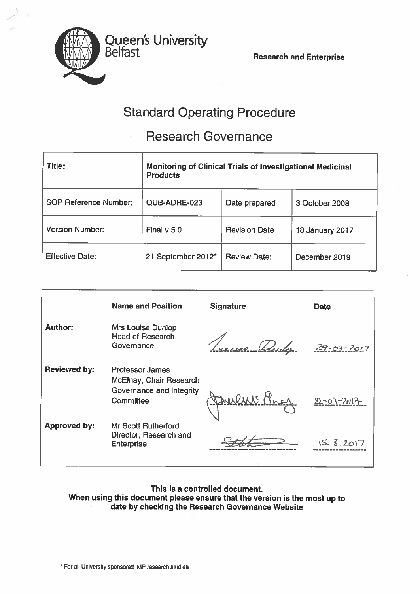Belfast Research and Enterprise



# Standard Operating Procedure

# Research Governance

| <b>Title:</b>                | Monitoring of Clinical Trials of Investigational Medicinal<br><b>Products</b> |                      |                        |
|------------------------------|-------------------------------------------------------------------------------|----------------------|------------------------|
| <b>SOP Reference Number:</b> | QUB-ADRE-023                                                                  | Date prepared        | 3 October 2008         |
| <b>Version Number:</b>       | Final $v$ 5.0                                                                 | <b>Revision Date</b> | <b>18 January 2017</b> |
| <b>Effective Date:</b>       | 21 September 2012*                                                            | <b>Review Date:</b>  | December 2019          |

|                     | <b>Name and Position</b>                                                  | <b>Signature</b> | <b>Date</b>      |
|---------------------|---------------------------------------------------------------------------|------------------|------------------|
| <b>Author:</b>      | Mrs Louise Dunlop<br><b>Head of Research</b><br>Governance                | use Punky        | $29 - 03 - 2017$ |
| <b>Reviewed by:</b> | <b>Professor James</b><br>McElnay, Chair Research                         |                  |                  |
|                     | Governance and Integrity<br>Committee                                     | Freeling Praz    | $22 - 03 - 2017$ |
| <b>Approved by:</b> | <b>Mr Scott Rutherford</b><br>Director, Research and<br><b>Enterprise</b> |                  | 15.3.2017        |

# This is <sup>a</sup> controlled document. When using this document <sup>p</sup>lease ensure that the version is the most up to date by checking the Research Governance Website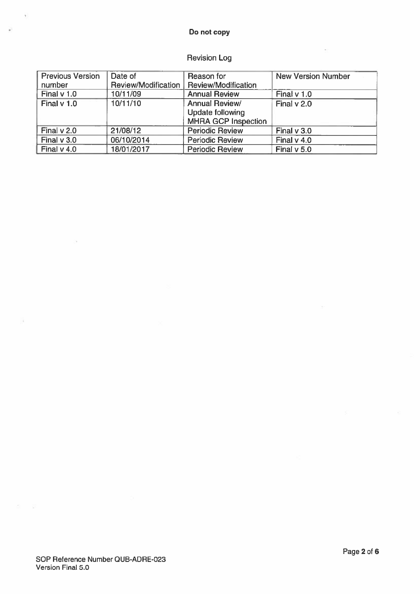### Do not copy

# Revision Log

| <b>Previous Version</b> | Date of             | Reason for                 | <b>New Version Number</b> |
|-------------------------|---------------------|----------------------------|---------------------------|
| number                  | Review/Modification | Review/Modification        |                           |
| Final $v$ 1.0           | 10/11/09            | <b>Annual Review</b>       | Final $v$ 1.0             |
| Final v 1.0             | 10/11/10            | <b>Annual Review/</b>      | Final v 2.0               |
|                         |                     | <b>Update following</b>    |                           |
|                         |                     | <b>MHRA GCP Inspection</b> |                           |
| Final $v$ 2.0           | 21/08/12            | <b>Periodic Review</b>     | Final $v$ 3.0             |
| Final $v$ 3.0           | 06/10/2014          | <b>Periodic Review</b>     | Final $v$ 4.0             |
| Final $v$ 4.0           | 18/01/2017          | <b>Periodic Review</b>     | Final $v$ 5.0             |

 $\tilde{\gamma}$ 

 $\overline{\omega}$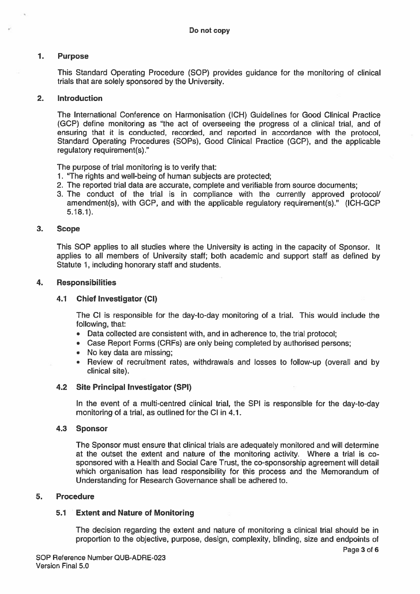#### 1. Purpose

This Standard Operating Procedure (SOP) provides guidance for the monitoring of clinical trials that are solely sponsored by the University.

#### 2. Introduction

The International Conference on Harmonisation (ICH) Guidelines for Good Clinical Practice (GCP) define monitoring as "the act of overseeing the progress of <sup>a</sup> clinical trial, and of ensuring that it is conducted, recorded, and reported in accordance with the protocol, Standard Operating Procedures (SOPs), Good Clinical Practice (GCP), and the applicable regulatory requirement(s)."

The purpose of trial monitoring is to verify that:

- 1. "The rights and well-being of human subjects are protected;
- 2. The reported trial data are accurate, complete and verifiable from source documents;
- 3. The conduct of the trial is in compliance with the currently approved protocol/ amendment(s), with GCP, and with the applicable regulatory requirement(s)." (ICH-GCP 5.18.1).

#### 3. Scope

This SOP applies to all studies where the University is acting in the capacity of Sponsor. It applies to all members of University staff; both academic and suppor<sup>t</sup> staff as defined by Statute 1, including honorary staff and students.

### 4. Responsibilities

#### 4.1 Chief Investigator (Cl)

The Cl is responsible for the day-to-day monitoring of <sup>a</sup> trial. This would include the following, that:

- Data collected are consistent with, and in adherence to, the trial protocol;
- Case Report Forms (CRFs) are only being completed by authorised persons;
- No key data are missing;
- Review of recruitment rates, withdrawals and losses to follow-up (overall and by clinical site).

#### 4.2 Site Principal Investigator (SPI)

In the event of <sup>a</sup> multi-centred clinical trial, the SPI is responsible for the day-to-day monitoring of <sup>a</sup> trial, as outlined for the Cl in 4.1.

#### 4.3 Sponsor

The Sponsor must ensure that clinical trials are adequately monitored and will determine at the outset the extent and nature of the monitoring activity. Where <sup>a</sup> trial is co sponsored with <sup>a</sup> Health and Social Care Trust, the co-sponsorship agreemen<sup>t</sup> will detail which organisation has lead responsibility for this process and the Memorandum of Understanding for Research Governance shall be adhered to.

### 5. Procedure

## 5.1 Extent and Nature of Monitoring

The decision regarding the extent and nature of monitoring <sup>a</sup> clinical trial should be in proportion to the objective, purpose, design, complexity, blinding, size and endpoints of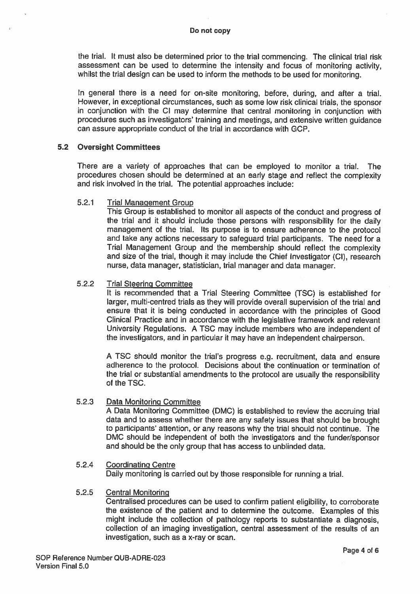the trial. It must also be determined prior to the trial commencing. The clinical trial risk assessment can be used to determine the intensity and focus of monitoring activity, whilst the trial design can be used to inform the methods to be used for monitoring.

In genera<sup>l</sup> there is <sup>a</sup> need for on-site monitoring, before, during, and after <sup>a</sup> trial. However, in exceptional circumstances, such as some low risk clinical trials, the sponsor in conjunction with the Cl may determine that central monitoring in conjunction with procedures such as investigators' training and meetings, and extensive written guidance can assure appropriate conduct of the trial in accordance with GCP.

#### 5.2 Oversight Committees

There are <sup>a</sup> variety of approaches that can be employed to monitor <sup>a</sup> trial. The procedures chosen should be determined at an early stage and reflect the complexity and risk involved in the trial. The potential approaches include:

#### 5.2.1 Trial Management Group

This Group is established to monitor all aspects of the conduct and progress of the trial and it should include those persons with responsibility for the daily managemen<sup>t</sup> of the trial. Its purpose is to ensure adherence to the protocol and take any actions necessary to safeguard trial participants. The need for <sup>a</sup> Trial Management Group and the membership should reflect the complexity and size of the trial, though it may include the Chief Investigator (Cl), research nurse, data manager, statistician, trial manager and data manager.

#### 5.2.2 Trial Steering Committee

It is recommended that <sup>a</sup> Trial Steering Committee (TSC) is established for larger, multi-centred trials as they will provide overall supervision of the trial and ensure that it is being conducted in accordance with the principles of Good Clinical Practice and in accordance with the legislative framework and relevant University Regulations. <sup>A</sup> TSC may include members who are independent of the investigators, and in particular it may have an independent chairperson.

<sup>A</sup> TSC should monitor the trial's progress e.g. recruitment, data and ensure adherence to the protocol. Decisions about the continuation or termination of the trial or substantial amendments to the protocol are usually the responsibility of the TSC.

#### 5.2.3 Data Monitoring Committee

<sup>A</sup> Data Monitoring Committee (DMC) is established to review the accruing trial data and to assess whether there are any safety issues that should be brought to participants' attention, or any reasons why the trial should not continue. The DMC should be independent of both the investigators and the funder/sponsor and should be the only group that has access to unblinded data.

#### 5.2.4 Coordinating Centre

Daily monitoring is carried out by those responsible for running <sup>a</sup> trial.

#### 5.2.5 Central Monitoring

Centralised procedures can be used to confirm patient eligibility, to corroborate the existence of the patient and to determine the outcome. Examples of this might include the collection of pathology reports to substantiate <sup>a</sup> diagnosis, collection of an imaging investigation, central assessment of the results of an investigation, such as <sup>a</sup> x-ray or scan.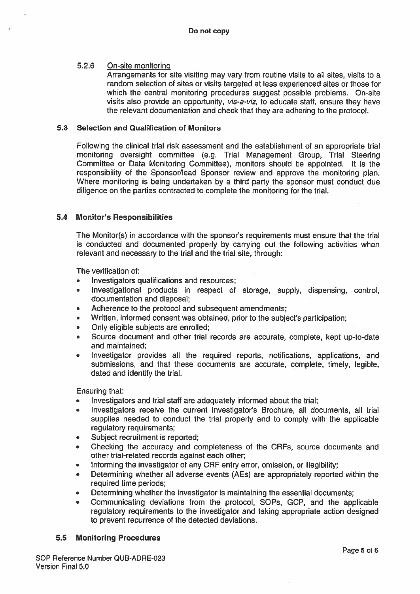# 5.2.6 On-site monitoring

Arrangements for site visiting may vary from routine visits to all sites, visits to <sup>a</sup> random selection of sites or visits targeted at less experienced sites or those for which the central monitoring procedures sugges<sup>t</sup> possible problems. On-site visits also provide an opportunity, *vis-a-viz*, to educate staff, ensure they have the relevant documentation and check that they are adhering to the protocol.

# 5.3 Selection and Qualification of Monitors

Following the clinical trial risk assessment and the establishment of an appropriate trial monitoring oversight committee (e.g. Trial Management Group, Trial Steering Committee or Data Monitoring Committee), monitors should be appointed. It is the responsibility of the Sponsor/lead Sponsor review and approve the monitoring plan. Where monitoring is being undertaken by <sup>a</sup> third party the sponsor must conduct due diligence on the parties contracted to complete the monitoring for the trial.

## 5.4 Monitor's Responsibilities

The Monitor(s) in accordance with the sponsor's requirements must ensure that the trial is conducted and documented properly by carrying out the following activities when relevant and necessary to the trial and the trial site, through:

The verification of:

- •Investigators qualifications and resources;
- • Investigational products in respec<sup>t</sup> of storage, supply, dispensing, control, documentation and disposal;
- •Adherence to the protocol and subsequent amendments;
- •Written, informed consent was obtained, prior to the subject's participation;
- •Only eligible subjects are enrolled;
- • Source document and other trial records are accurate, complete, kept up-to-date and maintained;
- • Investigator provides all the required reports, notifications, applications, and submissions, and that these documents are accurate, complete, timely, legible, dated and identify the trial.

Ensuring that:

- •Investigators and trial staff are adequately informed about the trial;
- • Investigators receive the current Investigator's Brochure, all documents, all trial supplies needed to conduct the trial properly and to comply with the applicable regulatory requirements;
- •Subject recruitment is reported;
- • Checking the accuracy and completeness of the CRFs, source documents and other trial-related records against each other;
- •Informing the investigator of any CRF entry error, omission, or illegibility;
- • Determining whether all adverse events (AEs) are appropriately reported within the required time periods;
- •Determining whether the investigator is maintaining the essential documents;
- • Communicating deviations from the protocol, SOPs, GCP, and the applicable regulatory requirements to the investigator and taking appropriate action designed to preven<sup>t</sup> recurrence of the detected deviations.

#### 5.5 Monitoring Procedures